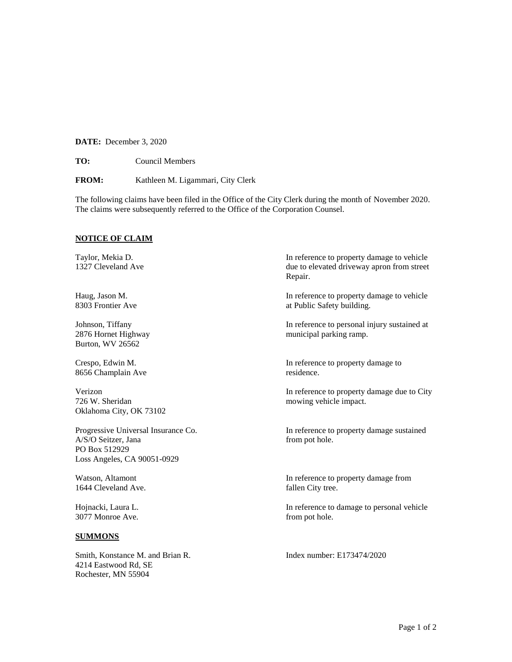**DATE:** December 3, 2020

**TO:** Council Members

**FROM:** Kathleen M. Ligammari, City Clerk

The following claims have been filed in the Office of the City Clerk during the month of November 2020. The claims were subsequently referred to the Office of the Corporation Counsel.

## **NOTICE OF CLAIM**

Burton, WV 26562

8656 Champlain Ave residence.

726 W. Sheridan mowing vehicle impact. Oklahoma City, OK 73102

A/S/O Seitzer, Jana from pot hole. PO Box 512929 Loss Angeles, CA 90051-0929

1644 Cleveland Ave. fallen City tree.

3077 Monroe Ave. from pot hole.

## **SUMMONS**

Smith, Konstance M. and Brian R. Index number: E173474/2020 4214 Eastwood Rd, SE Rochester, MN 55904

Taylor, Mekia D. In reference to property damage to vehicle 1327 Cleveland Ave due to elevated driveway apron from street Repair.

Haug, Jason M. In reference to property damage to vehicle 8303 Frontier Ave at Public Safety building.

Johnson, Tiffany In reference to personal injury sustained at 2876 Hornet Highway municipal parking ramp.

Crespo, Edwin M. In reference to property damage to

Verizon In reference to property damage due to City

Progressive Universal Insurance Co. In reference to property damage sustained

Watson, Altamont **In reference to property damage from** 

Hojnacki, Laura L. In reference to damage to personal vehicle